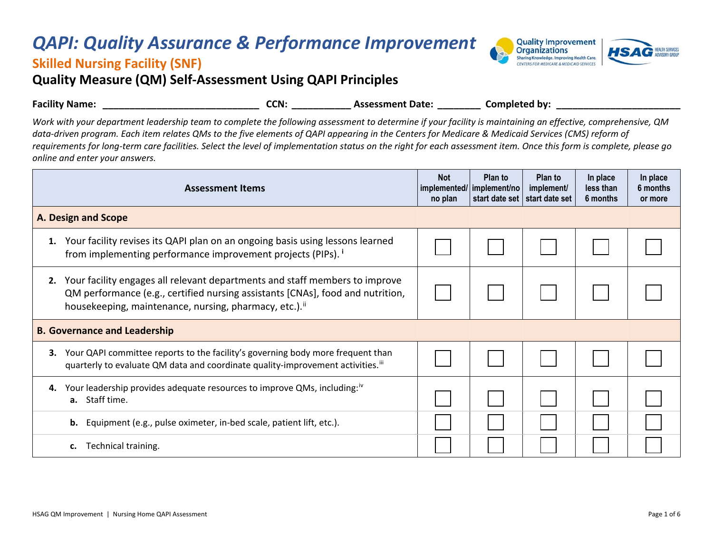## *QAPI: Quality Assurance & Performance Improvement*



## **Skilled Nursing Facility (SNF)**

**Quality Measure (QM) Self-Assessment Using QAPI Principles**

| <b>Facility Name:</b>                                                                                                                                              | CCN: | <b>Assessment Date:</b> | Completed by: |
|--------------------------------------------------------------------------------------------------------------------------------------------------------------------|------|-------------------------|---------------|
| Work with your department leadership team to complete the following assessment to determine if your facility is maintaining an effective, comprehensive, QM        |      |                         |               |
| data-driven program. Each item relates QMs to the five elements of QAPI appearing in the Centers for Medicare & Medicaid Services (CMS) reform of                  |      |                         |               |
| requirements for long-term care facilities. Select the level of implementation status on the right for each assessment item. Once this form is complete, please go |      |                         |               |
| online and enter your answers.                                                                                                                                     |      |                         |               |

| <b>Assessment Items</b>             |                                                                                                                                                                                                                                     | <b>Not</b><br>no plan | Plan to<br>implemented/ implement/no | Plan to<br>implement/<br>start date set   start date set | In place<br>less than<br>6 months | In place<br>6 months<br>or more |
|-------------------------------------|-------------------------------------------------------------------------------------------------------------------------------------------------------------------------------------------------------------------------------------|-----------------------|--------------------------------------|----------------------------------------------------------|-----------------------------------|---------------------------------|
| <b>A. Design and Scope</b>          |                                                                                                                                                                                                                                     |                       |                                      |                                                          |                                   |                                 |
| 1.                                  | Your facility revises its QAPI plan on an ongoing basis using lessons learned<br>from implementing performance improvement projects (PIPs). <sup>i</sup>                                                                            |                       |                                      |                                                          |                                   |                                 |
| 2.                                  | Your facility engages all relevant departments and staff members to improve<br>QM performance (e.g., certified nursing assistants [CNAs], food and nutrition,<br>housekeeping, maintenance, nursing, pharmacy, etc.). <sup>ii</sup> |                       |                                      |                                                          |                                   |                                 |
| <b>B. Governance and Leadership</b> |                                                                                                                                                                                                                                     |                       |                                      |                                                          |                                   |                                 |
| 3.                                  | Your QAPI committee reports to the facility's governing body more frequent than<br>quarterly to evaluate QM data and coordinate quality-improvement activities. <sup>III</sup>                                                      |                       |                                      |                                                          |                                   |                                 |
| 4.                                  | Your leadership provides adequate resources to improve QMs, including: <sup>10</sup><br>a. Staff time.                                                                                                                              |                       |                                      |                                                          |                                   |                                 |
|                                     | Equipment (e.g., pulse oximeter, in-bed scale, patient lift, etc.).<br>b.                                                                                                                                                           |                       |                                      |                                                          |                                   |                                 |
|                                     | Technical training.<br>c.                                                                                                                                                                                                           |                       |                                      |                                                          |                                   |                                 |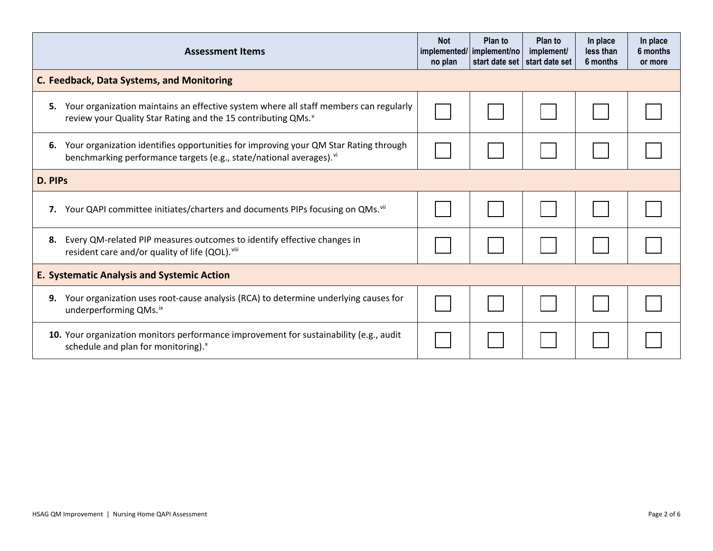| <b>Assessment Items</b>                           |                                                                                                                                                                         | <b>Not</b><br>no plan | Plan to<br>implemented/ implement/no<br>start date set | Plan to<br>implement/<br>start date set | In place<br>less than<br>6 months | In place<br>6 months<br>or more |
|---------------------------------------------------|-------------------------------------------------------------------------------------------------------------------------------------------------------------------------|-----------------------|--------------------------------------------------------|-----------------------------------------|-----------------------------------|---------------------------------|
|                                                   | C. Feedback, Data Systems, and Monitoring                                                                                                                               |                       |                                                        |                                         |                                   |                                 |
|                                                   | 5. Your organization maintains an effective system where all staff members can regularly<br>review your Quality Star Rating and the 15 contributing QMs. <sup>v</sup>   |                       |                                                        |                                         |                                   |                                 |
| 6.                                                | Your organization identifies opportunities for improving your QM Star Rating through<br>benchmarking performance targets (e.g., state/national averages). <sup>vi</sup> |                       |                                                        |                                         |                                   |                                 |
| D. PIPS                                           |                                                                                                                                                                         |                       |                                                        |                                         |                                   |                                 |
|                                                   | 7. Your QAPI committee initiates/charters and documents PIPs focusing on QMs. <sup>vii</sup>                                                                            |                       |                                                        |                                         |                                   |                                 |
| 8.                                                | Every QM-related PIP measures outcomes to identify effective changes in<br>resident care and/or quality of life (QOL). Viii                                             |                       |                                                        |                                         |                                   |                                 |
| <b>E. Systematic Analysis and Systemic Action</b> |                                                                                                                                                                         |                       |                                                        |                                         |                                   |                                 |
| 9.                                                | Your organization uses root-cause analysis (RCA) to determine underlying causes for<br>underperforming QMs. <sup>ix</sup>                                               |                       |                                                        |                                         |                                   |                                 |
|                                                   | 10. Your organization monitors performance improvement for sustainability (e.g., audit<br>schedule and plan for monitoring). <sup>x</sup>                               |                       |                                                        |                                         |                                   |                                 |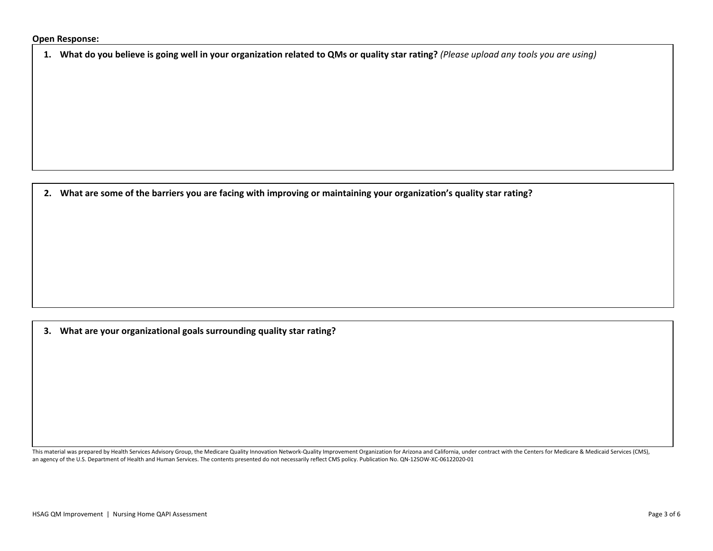**1. What do you believe is going well in your organization related to QMs or quality star rating?** *(Please upload any tools you are using)*

**2. What are some of the barriers you are facing with improving or maintaining your organization's quality star rating?** 

**3. What are your organizational goals surrounding quality star rating?**

This material was prepared by Health Services Advisory Group, the Medicare Quality Innovation Network-Quality Improvement Organization for Arizona and California, under contract with the Centers for Medicare & Medicaid Ser an agency of the U.S. Department of Health and Human Services. The contents presented do not necessarily reflect CMS policy. Publication No. QN-12SOW-XC-06122020-01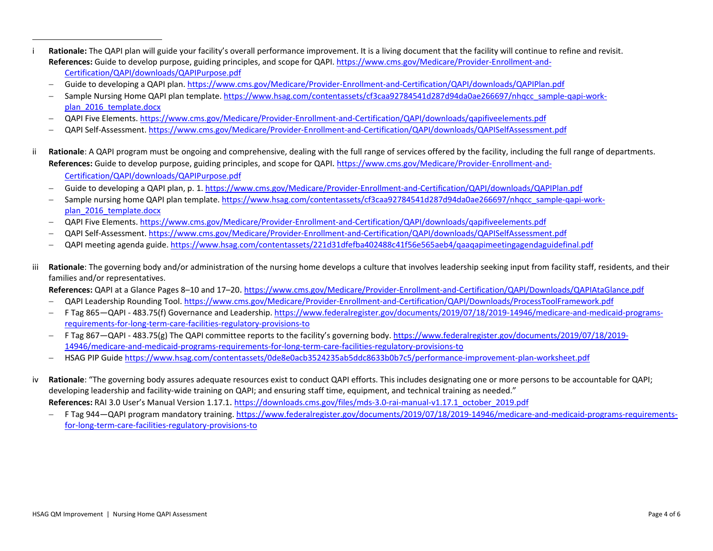- <span id="page-3-3"></span><span id="page-3-2"></span><span id="page-3-1"></span><span id="page-3-0"></span>i **Rationale:** The QAPI plan will guide your facility's overall performance improvement. It is a living document that the facility will continue to refine and revisit. **References:** Guide to develop purpose, guiding principles, and scope for QAPI. [https://www.cms.gov/Medicare/Provider-Enrollment-and-](https://www.cms.gov/Medicare/Provider-Enrollment-and-Certification/QAPI/downloads/QAPIPurpose.pdf)[Certification/QAPI/downloads/QAPIPurpose.pdf](https://www.cms.gov/Medicare/Provider-Enrollment-and-Certification/QAPI/downloads/QAPIPurpose.pdf) 
	- − Guide to developing a QAPI plan.<https://www.cms.gov/Medicare/Provider-Enrollment-and-Certification/QAPI/downloads/QAPIPlan.pdf>
	- − Sample Nursing Home QAPI plan template[. https://www.hsag.com/contentassets/cf3caa92784541d287d94da0ae266697/nhqcc\\_sample-qapi-work](https://www.hsag.com/contentassets/cf3caa92784541d287d94da0ae266697/nhqcc_sample-qapi-work-plan_2016_template.docx)[plan\\_2016\\_template.docx](https://www.hsag.com/contentassets/cf3caa92784541d287d94da0ae266697/nhqcc_sample-qapi-work-plan_2016_template.docx)
	- − QAPI Five Elements. <https://www.cms.gov/Medicare/Provider-Enrollment-and-Certification/QAPI/downloads/qapifiveelements.pdf>
	- − QAPI Self-Assessment.<https://www.cms.gov/Medicare/Provider-Enrollment-and-Certification/QAPI/downloads/QAPISelfAssessment.pdf>
- ii **Rationale**: A QAPI program must be ongoing and comprehensive, dealing with the full range of services offered by the facility, including the full range of departments. **References:** Guide to develop purpose, guiding principles, and scope for QAPI. [https://www.cms.gov/Medicare/Provider-Enrollment-and-](https://www.cms.gov/Medicare/Provider-Enrollment-and-Certification/QAPI/downloads/QAPIPurpose.pdf)[Certification/QAPI/downloads/QAPIPurpose.pdf](https://www.cms.gov/Medicare/Provider-Enrollment-and-Certification/QAPI/downloads/QAPIPurpose.pdf)
	- − Guide to developing a QAPI plan, p. 1. <https://www.cms.gov/Medicare/Provider-Enrollment-and-Certification/QAPI/downloads/QAPIPlan.pdf>
	- − Sample nursing home QAPI plan template. [https://www.hsag.com/contentassets/cf3caa92784541d287d94da0ae266697/nhqcc\\_sample-qapi-work](https://www.hsag.com/contentassets/cf3caa92784541d287d94da0ae266697/nhqcc_sample-qapi-work-plan_2016_template.docx)[plan\\_2016\\_template.docx](https://www.hsag.com/contentassets/cf3caa92784541d287d94da0ae266697/nhqcc_sample-qapi-work-plan_2016_template.docx)
	- − QAPI Five Elements[. https://www.cms.gov/Medicare/Provider-Enrollment-and-Certification/QAPI/downloads/qapifiveelements.pdf](https://www.cms.gov/Medicare/Provider-Enrollment-and-Certification/QAPI/downloads/qapifiveelements.pdf)
	- − QAPI Self-Assessment.<https://www.cms.gov/Medicare/Provider-Enrollment-and-Certification/QAPI/downloads/QAPISelfAssessment.pdf>
	- − QAPI meeting agenda guide. <https://www.hsag.com/contentassets/221d31dfefba402488c41f56e565aeb4/qaaqapimeetingagendaguidefinal.pdf>
- iii Rationale: The governing body and/or administration of the nursing home develops a culture that involves leadership seeking input from facility staff, residents, and their families and/or representatives.
	- **References:** QAPI at a Glance Pages 8–10 and 17–20. <https://www.cms.gov/Medicare/Provider-Enrollment-and-Certification/QAPI/Downloads/QAPIAtaGlance.pdf>
	- − QAPI Leadership Rounding Tool[. https://www.cms.gov/Medicare/Provider-Enrollment-and-Certification/QAPI/Downloads/ProcessToolFramework.pdf](https://www.cms.gov/Medicare/Provider-Enrollment-and-Certification/QAPI/Downloads/ProcessToolFramework.pdf)
	- − F Tag 865—QAPI 483.75(f) Governance and Leadership. [https://www.federalregister.gov/documents/2019/07/18/2019-14946/medicare-and-medicaid-programs](https://www.federalregister.gov/documents/2019/07/18/2019-14946/medicare-and-medicaid-programs-requirements-for-long-term-care-facilities-regulatory-provisions-to)[requirements-for-long-term-care-facilities-regulatory-provisions-to](https://www.federalregister.gov/documents/2019/07/18/2019-14946/medicare-and-medicaid-programs-requirements-for-long-term-care-facilities-regulatory-provisions-to)
	- − F Tag 867—QAPI 483.75(g) The QAPI committee reports to the facility's governing body. [https://www.federalregister.gov/documents/2019/07/18/2019-](https://www.federalregister.gov/documents/2019/07/18/2019-14946/medicare-and-medicaid-programs-requirements-for-long-term-care-facilities-regulatory-provisions-to) [14946/medicare-and-medicaid-programs-requirements-for-long-term-care-facilities-regulatory-provisions-to](https://www.federalregister.gov/documents/2019/07/18/2019-14946/medicare-and-medicaid-programs-requirements-for-long-term-care-facilities-regulatory-provisions-to)
	- − HSAG PIP Guide <https://www.hsag.com/contentassets/0de8e0acb3524235ab5ddc8633b0b7c5/performance-improvement-plan-worksheet.pdf>
- iv **Rationale**: "The governing body assures adequate resources exist to conduct QAPI efforts. This includes designating one or more persons to be accountable for QAPI; developing leadership and facility-wide training on QAPI; and ensuring staff time, equipment, and technical training as needed." **References:** RAI 3.0 User's Manual Version 1.17.1. [https://downloads.cms.gov/files/mds-3.0-rai-manual-v1.17.1\\_october\\_2019.pdf](https://downloads.cms.gov/files/mds-3.0-rai-manual-v1.17.1_october_2019.pdf)
	- − F Tag 944—QAPI program mandatory training. [https://www.federalregister.gov/documents/2019/07/18/2019-14946/medicare-and-medicaid-programs-requirements](https://www.federalregister.gov/documents/2019/07/18/2019-14946/medicare-and-medicaid-programs-requirements-for-long-term-care-facilities-regulatory-provisions-to)[for-long-term-care-facilities-regulatory-provisions-to](https://www.federalregister.gov/documents/2019/07/18/2019-14946/medicare-and-medicaid-programs-requirements-for-long-term-care-facilities-regulatory-provisions-to)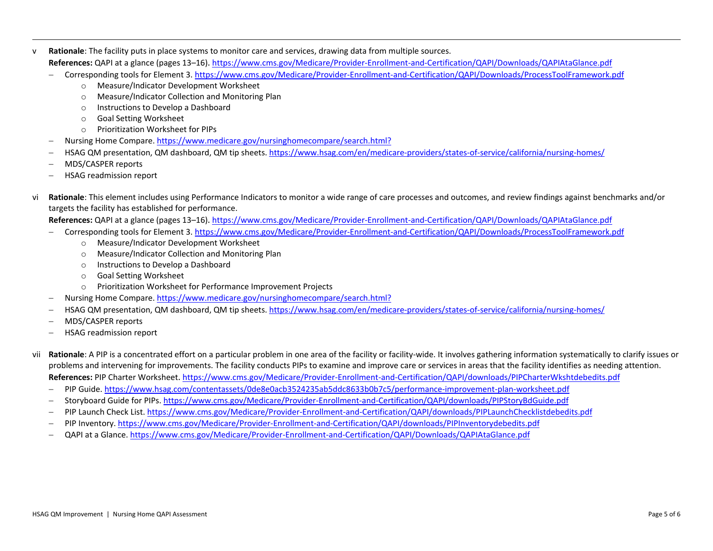- <span id="page-4-2"></span><span id="page-4-1"></span><span id="page-4-0"></span>v **Rationale**: The facility puts in place systems to monitor care and services, drawing data from multiple sources. **References:** QAPI at a glance (pages 13–16). <https://www.cms.gov/Medicare/Provider-Enrollment-and-Certification/QAPI/Downloads/QAPIAtaGlance.pdf>
	- − Corresponding tools for Element 3[. https://www.cms.gov/Medicare/Provider-Enrollment-and-Certification/QAPI/Downloads/ProcessToolFramework.pdf](https://www.cms.gov/Medicare/Provider-Enrollment-and-Certification/QAPI/Downloads/ProcessToolFramework.pdf)
		- o Measure/Indicator Development Worksheet
		- o Measure/Indicator Collection and Monitoring Plan
		- o Instructions to Develop a Dashboard
		- o Goal Setting Worksheet
		- o Prioritization Worksheet for PIPs
	- − Nursing Home Compare[. https://www.medicare.gov/nursinghomecompare/search.html?](https://www.medicare.gov/nursinghomecompare/search.html?%20)
	- − HSAG QM presentation, QM dashboard, QM tip sheets. <https://www.hsag.com/en/medicare-providers/states-of-service/california/nursing-homes/>
	- − MDS/CASPER reports
	- − HSAG readmission report
- vi **Rationale**: This element includes using Performance Indicators to monitor a wide range of care processes and outcomes, and review findings against benchmarks and/or targets the facility has established for performance.
	- **References:** QAPI at a glance (pages 13–16). <https://www.cms.gov/Medicare/Provider-Enrollment-and-Certification/QAPI/Downloads/QAPIAtaGlance.pdf>
	- − Corresponding tools for Element 3[. https://www.cms.gov/Medicare/Provider-Enrollment-and-Certification/QAPI/Downloads/ProcessToolFramework.pdf](https://www.cms.gov/Medicare/Provider-Enrollment-and-Certification/QAPI/Downloads/ProcessToolFramework.pdf)
		- o Measure/Indicator Development Worksheet
		- o Measure/Indicator Collection and Monitoring Plan
		- o Instructions to Develop a Dashboard
		- o Goal Setting Worksheet
		- o Prioritization Worksheet for Performance Improvement Projects
	- − Nursing Home Compare[. https://www.medicare.gov/nursinghomecompare/search.html?](https://www.medicare.gov/nursinghomecompare/search.html?)
	- − HSAG QM presentation, QM dashboard, QM tip sheets. <https://www.hsag.com/en/medicare-providers/states-of-service/california/nursing-homes/>
	- − MDS/CASPER reports
	- − HSAG readmission report
- vii **Rationale**: A PIP is a concentrated effort on a particular problem in one area of the facility or facility-wide. It involves gathering information systematically to clarify issues or problems and intervening for improvements. The facility conducts PIPs to examine and improve care or services in areas that the facility identifies as needing attention. **References:** PIP Charter Worksheet. <https://www.cms.gov/Medicare/Provider-Enrollment-and-Certification/QAPI/downloads/PIPCharterWkshtdebedits.pdf>
	- − PIP Guide.<https://www.hsag.com/contentassets/0de8e0acb3524235ab5ddc8633b0b7c5/performance-improvement-plan-worksheet.pdf>
	- − Storyboard Guide for PIPs. <https://www.cms.gov/Medicare/Provider-Enrollment-and-Certification/QAPI/downloads/PIPStoryBdGuide.pdf>
	- − PIP Launch Check List[. https://www.cms.gov/Medicare/Provider-Enrollment-and-Certification/QAPI/downloads/PIPLaunchChecklistdebedits.pdf](https://www.cms.gov/Medicare/Provider-Enrollment-and-Certification/QAPI/downloads/PIPLaunchChecklistdebedits.pdf)
	- − PIP Inventory.<https://www.cms.gov/Medicare/Provider-Enrollment-and-Certification/QAPI/downloads/PIPInventorydebedits.pdf>
	- − QAPI at a Glance[. https://www.cms.gov/Medicare/Provider-Enrollment-and-Certification/QAPI/Downloads/QAPIAtaGlance.pdf](https://www.cms.gov/Medicare/Provider-Enrollment-and-Certification/QAPI/Downloads/QAPIAtaGlance.pdf)